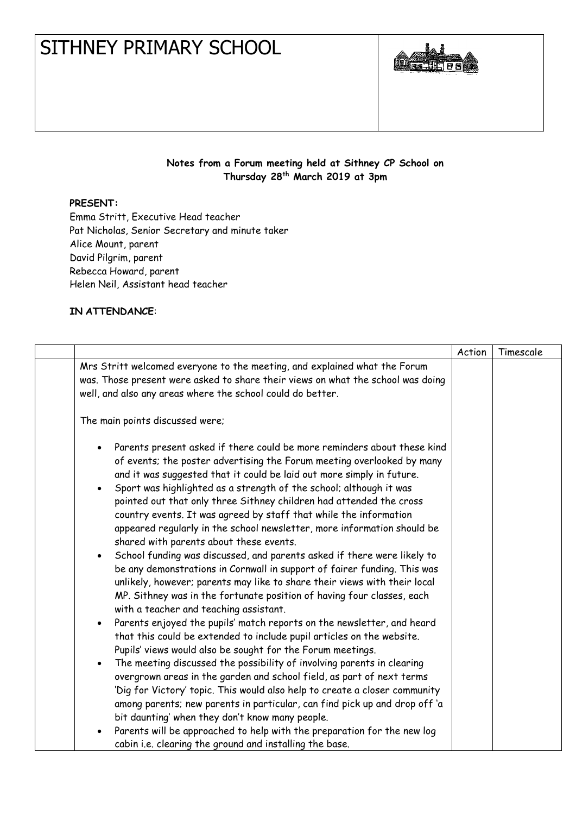## SITHNEY PRIMARY SCHOOL



## **Notes from a Forum meeting held at Sithney CP School on Thursday 28th March 2019 at 3pm**

## **PRESENT:**

Emma Stritt, Executive Head teacher Pat Nicholas, Senior Secretary and minute taker Alice Mount, parent David Pilgrim, parent Rebecca Howard, parent Helen Neil, Assistant head teacher

## **IN ATTENDANCE**:

|                                                                                                                                                                                                                                                                                                                                                                                                                                                                                                                                                                                                                                                                                                                                                                                                                                                                                                                                                                                                                                                                                                                                                                                                                                                                                                                                                                                                                                                                                                                                                                                                                                                           | Action | Timescale |
|-----------------------------------------------------------------------------------------------------------------------------------------------------------------------------------------------------------------------------------------------------------------------------------------------------------------------------------------------------------------------------------------------------------------------------------------------------------------------------------------------------------------------------------------------------------------------------------------------------------------------------------------------------------------------------------------------------------------------------------------------------------------------------------------------------------------------------------------------------------------------------------------------------------------------------------------------------------------------------------------------------------------------------------------------------------------------------------------------------------------------------------------------------------------------------------------------------------------------------------------------------------------------------------------------------------------------------------------------------------------------------------------------------------------------------------------------------------------------------------------------------------------------------------------------------------------------------------------------------------------------------------------------------------|--------|-----------|
| Mrs Stritt welcomed everyone to the meeting, and explained what the Forum<br>was. Those present were asked to share their views on what the school was doing<br>well, and also any areas where the school could do better.                                                                                                                                                                                                                                                                                                                                                                                                                                                                                                                                                                                                                                                                                                                                                                                                                                                                                                                                                                                                                                                                                                                                                                                                                                                                                                                                                                                                                                |        |           |
| The main points discussed were;                                                                                                                                                                                                                                                                                                                                                                                                                                                                                                                                                                                                                                                                                                                                                                                                                                                                                                                                                                                                                                                                                                                                                                                                                                                                                                                                                                                                                                                                                                                                                                                                                           |        |           |
| Parents present asked if there could be more reminders about these kind<br>$\bullet$<br>of events; the poster advertising the Forum meeting overlooked by many<br>and it was suggested that it could be laid out more simply in future.<br>Sport was highlighted as a strength of the school; although it was<br>$\bullet$<br>pointed out that only three Sithney children had attended the cross<br>country events. It was agreed by staff that while the information<br>appeared regularly in the school newsletter, more information should be<br>shared with parents about these events.<br>School funding was discussed, and parents asked if there were likely to<br>$\bullet$<br>be any demonstrations in Cornwall in support of fairer funding. This was<br>unlikely, however; parents may like to share their views with their local<br>MP. Sithney was in the fortunate position of having four classes, each<br>with a teacher and teaching assistant.<br>Parents enjoyed the pupils' match reports on the newsletter, and heard<br>$\bullet$<br>that this could be extended to include pupil articles on the website.<br>Pupils' views would also be sought for the Forum meetings.<br>The meeting discussed the possibility of involving parents in clearing<br>$\bullet$<br>overgrown areas in the garden and school field, as part of next terms<br>'Dig for Victory' topic. This would also help to create a closer community<br>among parents; new parents in particular, can find pick up and drop off 'a<br>bit daunting' when they don't know many people.<br>Parents will be approached to help with the preparation for the new log |        |           |
| cabin i.e. clearing the ground and installing the base.                                                                                                                                                                                                                                                                                                                                                                                                                                                                                                                                                                                                                                                                                                                                                                                                                                                                                                                                                                                                                                                                                                                                                                                                                                                                                                                                                                                                                                                                                                                                                                                                   |        |           |